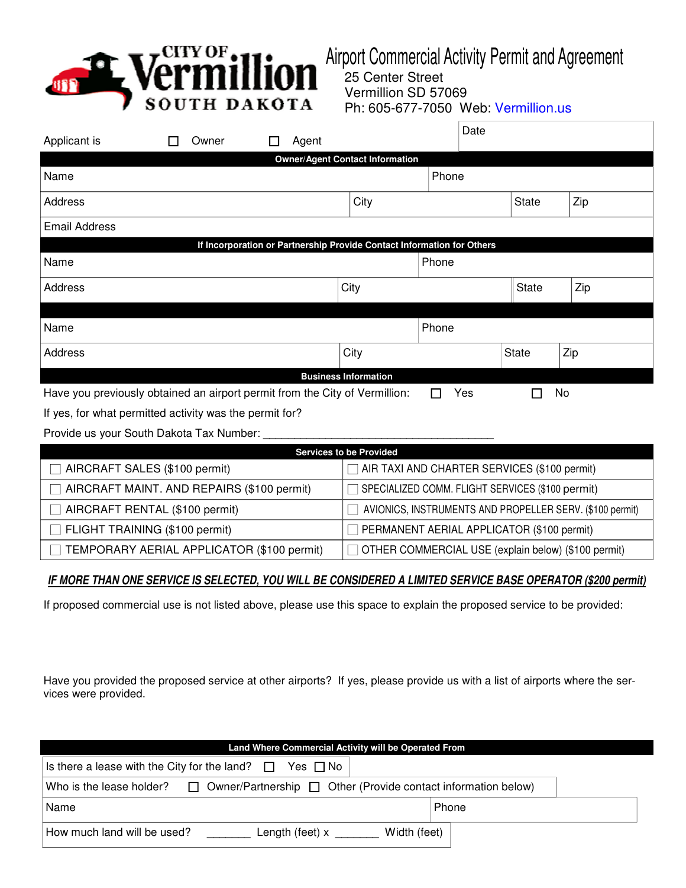

Airport Commercial Activity Permit and Agreement

 25 Center Street Vermillion SD 57069 Ph: 605-677-7050 Web: Vermillion.us

| Applicant is                                                                                              | Owner                                                                                          | Agent |                                                          |       | Date |              |     |  |  |
|-----------------------------------------------------------------------------------------------------------|------------------------------------------------------------------------------------------------|-------|----------------------------------------------------------|-------|------|--------------|-----|--|--|
|                                                                                                           |                                                                                                |       | <b>Owner/Agent Contact Information</b>                   |       |      |              |     |  |  |
| Name                                                                                                      |                                                                                                |       |                                                          | Phone |      |              |     |  |  |
| Address                                                                                                   |                                                                                                |       | City                                                     |       |      | <b>State</b> | Zip |  |  |
| <b>Email Address</b>                                                                                      |                                                                                                |       |                                                          |       |      |              |     |  |  |
| If Incorporation or Partnership Provide Contact Information for Others                                    |                                                                                                |       |                                                          |       |      |              |     |  |  |
| Name                                                                                                      |                                                                                                |       |                                                          | Phone |      |              |     |  |  |
| Address                                                                                                   |                                                                                                |       |                                                          | City  |      | <b>State</b> | Zip |  |  |
|                                                                                                           |                                                                                                |       |                                                          |       |      |              |     |  |  |
| Name                                                                                                      |                                                                                                |       |                                                          | Phone |      |              |     |  |  |
| Address                                                                                                   |                                                                                                |       | City                                                     |       |      | <b>State</b> | Zip |  |  |
|                                                                                                           |                                                                                                |       | <b>Business Information</b>                              |       |      |              |     |  |  |
| Have you previously obtained an airport permit from the City of Vermillion:<br>Yes<br>No<br>$\mathcal{L}$ |                                                                                                |       |                                                          |       |      |              |     |  |  |
| If yes, for what permitted activity was the permit for?                                                   |                                                                                                |       |                                                          |       |      |              |     |  |  |
| Provide us your South Dakota Tax Number:                                                                  |                                                                                                |       |                                                          |       |      |              |     |  |  |
|                                                                                                           |                                                                                                |       | <b>Services to be Provided</b>                           |       |      |              |     |  |  |
| AIRCRAFT SALES (\$100 permit)<br>AIR TAXI AND CHARTER SERVICES (\$100 permit)                             |                                                                                                |       |                                                          |       |      |              |     |  |  |
|                                                                                                           | AIRCRAFT MAINT. AND REPAIRS (\$100 permit)<br>SPECIALIZED COMM. FLIGHT SERVICES (\$100 permit) |       |                                                          |       |      |              |     |  |  |
| AIRCRAFT RENTAL (\$100 permit)                                                                            |                                                                                                |       | AVIONICS, INSTRUMENTS AND PROPELLER SERV. (\$100 permit) |       |      |              |     |  |  |
| FLIGHT TRAINING (\$100 permit)                                                                            |                                                                                                |       | PERMANENT AERIAL APPLICATOR (\$100 permit)               |       |      |              |     |  |  |
| TEMPORARY AERIAL APPLICATOR (\$100 permit)<br>OTHER COMMERCIAL USE (explain below) (\$100 permit)         |                                                                                                |       |                                                          |       |      |              |     |  |  |

## **IF MORE THAN ONE SERVICE IS SELECTED, YOU WILL BE CONSIDERED A LIMITED SERVICE BASE OPERATOR (\$200 permit)**

If proposed commercial use is not listed above, please use this space to explain the proposed service to be provided:

Have you provided the proposed service at other airports? If yes, please provide us with a list of airports where the services were provided.

| Land Where Commercial Activity will be Operated From                                               |       |  |  |  |  |  |  |  |
|----------------------------------------------------------------------------------------------------|-------|--|--|--|--|--|--|--|
| Is there a lease with the City for the land? $\Box$ Yes $\Box$ No                                  |       |  |  |  |  |  |  |  |
| Who is the lease holder? $\Box$ Owner/Partnership $\Box$ Other (Provide contact information below) |       |  |  |  |  |  |  |  |
| Name                                                                                               | Phone |  |  |  |  |  |  |  |
| How much land will be used?<br>Width (feet)<br>Length (feet) x                                     |       |  |  |  |  |  |  |  |